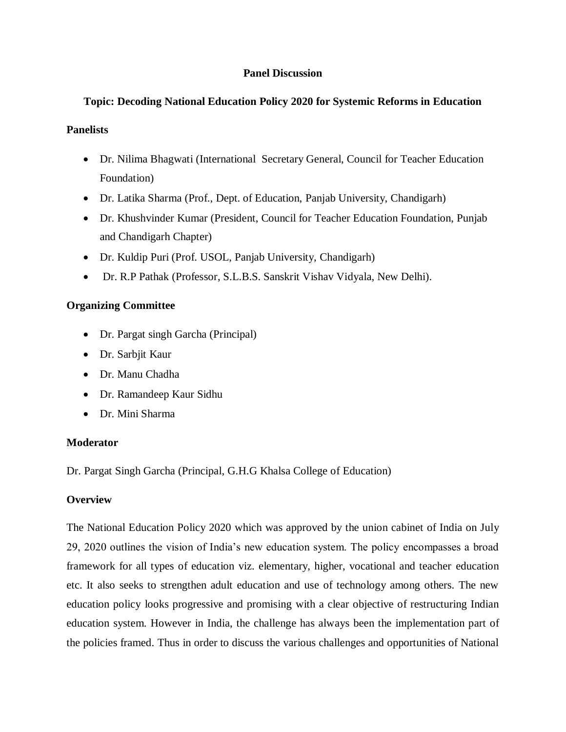# **Panel Discussion**

# **Topic: Decoding National Education Policy 2020 for Systemic Reforms in Education**

### **Panelists**

- Dr. Nilima Bhagwati (International Secretary General, Council for Teacher Education Foundation)
- Dr. Latika Sharma (Prof., Dept. of Education, Panjab University, Chandigarh)
- Dr. Khushvinder Kumar (President, Council for Teacher Education Foundation, Punjab and Chandigarh Chapter)
- Dr. Kuldip Puri (Prof. USOL, Panjab University, Chandigarh)
- Dr. R.P Pathak (Professor, S.L.B.S. Sanskrit Vishav Vidyala, New Delhi).

### **Organizing Committee**

- Dr. Pargat singh Garcha (Principal)
- Dr. Sarbjit Kaur
- Dr. Manu Chadha
- Dr. Ramandeep Kaur Sidhu
- Dr. Mini Sharma

# **Moderator**

Dr. Pargat Singh Garcha (Principal, G.H.G Khalsa College of Education)

# **Overview**

The National Education Policy 2020 which was approved by the union cabinet of India on July 29, 2020 outlines the vision of India's new education system. The policy encompasses a broad framework for all types of education viz. elementary, higher, vocational and teacher education etc. It also seeks to strengthen adult education and use of technology among others. The new education policy looks progressive and promising with a clear objective of restructuring Indian education system. However in India, the challenge has always been the implementation part of the policies framed. Thus in order to discuss the various challenges and opportunities of National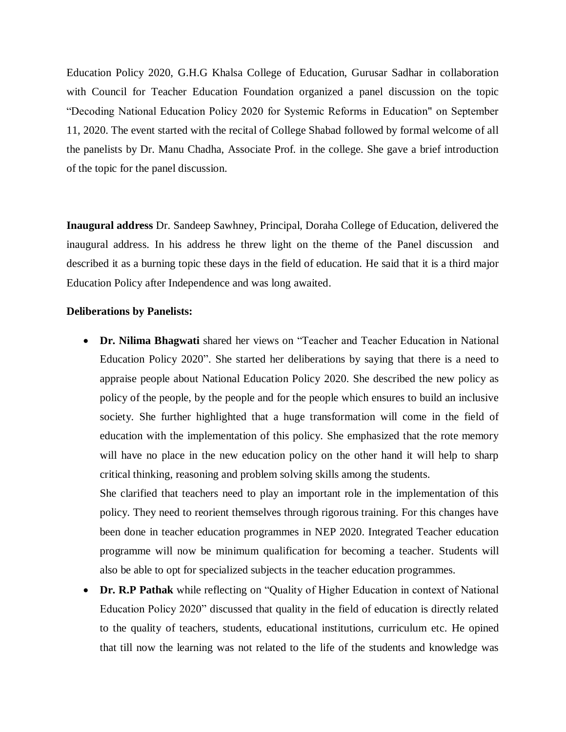Education Policy 2020, G.H.G Khalsa College of Education, Gurusar Sadhar in collaboration with Council for Teacher Education Foundation organized a panel discussion on the topic "Decoding National Education Policy 2020 for Systemic Reforms in Education" on September 11, 2020. The event started with the recital of College Shabad followed by formal welcome of all the panelists by Dr. Manu Chadha, Associate Prof. in the college. She gave a brief introduction of the topic for the panel discussion.

**Inaugural address** Dr. Sandeep Sawhney, Principal, Doraha College of Education, delivered the inaugural address. In his address he threw light on the theme of the Panel discussion and described it as a burning topic these days in the field of education. He said that it is a third major Education Policy after Independence and was long awaited.

#### **Deliberations by Panelists:**

 **Dr. Nilima Bhagwati** shared her views on "Teacher and Teacher Education in National Education Policy 2020". She started her deliberations by saying that there is a need to appraise people about National Education Policy 2020. She described the new policy as policy of the people, by the people and for the people which ensures to build an inclusive society. She further highlighted that a huge transformation will come in the field of education with the implementation of this policy. She emphasized that the rote memory will have no place in the new education policy on the other hand it will help to sharp critical thinking, reasoning and problem solving skills among the students.

She clarified that teachers need to play an important role in the implementation of this policy. They need to reorient themselves through rigorous training. For this changes have been done in teacher education programmes in NEP 2020. Integrated Teacher education programme will now be minimum qualification for becoming a teacher. Students will also be able to opt for specialized subjects in the teacher education programmes.

 **Dr. R.P Pathak** while reflecting on "Quality of Higher Education in context of National Education Policy 2020" discussed that quality in the field of education is directly related to the quality of teachers, students, educational institutions, curriculum etc. He opined that till now the learning was not related to the life of the students and knowledge was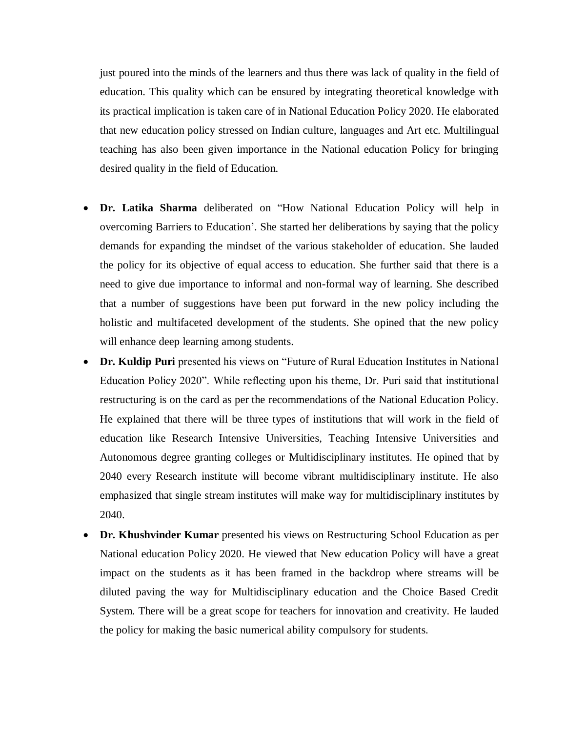just poured into the minds of the learners and thus there was lack of quality in the field of education. This quality which can be ensured by integrating theoretical knowledge with its practical implication is taken care of in National Education Policy 2020. He elaborated that new education policy stressed on Indian culture, languages and Art etc. Multilingual teaching has also been given importance in the National education Policy for bringing desired quality in the field of Education.

- **Dr. Latika Sharma** deliberated on "How National Education Policy will help in overcoming Barriers to Education'. She started her deliberations by saying that the policy demands for expanding the mindset of the various stakeholder of education. She lauded the policy for its objective of equal access to education. She further said that there is a need to give due importance to informal and non-formal way of learning. She described that a number of suggestions have been put forward in the new policy including the holistic and multifaceted development of the students. She opined that the new policy will enhance deep learning among students.
- **Dr. Kuldip Puri** presented his views on "Future of Rural Education Institutes in National Education Policy 2020". While reflecting upon his theme, Dr. Puri said that institutional restructuring is on the card as per the recommendations of the National Education Policy. He explained that there will be three types of institutions that will work in the field of education like Research Intensive Universities, Teaching Intensive Universities and Autonomous degree granting colleges or Multidisciplinary institutes. He opined that by 2040 every Research institute will become vibrant multidisciplinary institute. He also emphasized that single stream institutes will make way for multidisciplinary institutes by 2040.
- **Dr. Khushvinder Kumar** presented his views on Restructuring School Education as per National education Policy 2020. He viewed that New education Policy will have a great impact on the students as it has been framed in the backdrop where streams will be diluted paving the way for Multidisciplinary education and the Choice Based Credit System. There will be a great scope for teachers for innovation and creativity. He lauded the policy for making the basic numerical ability compulsory for students.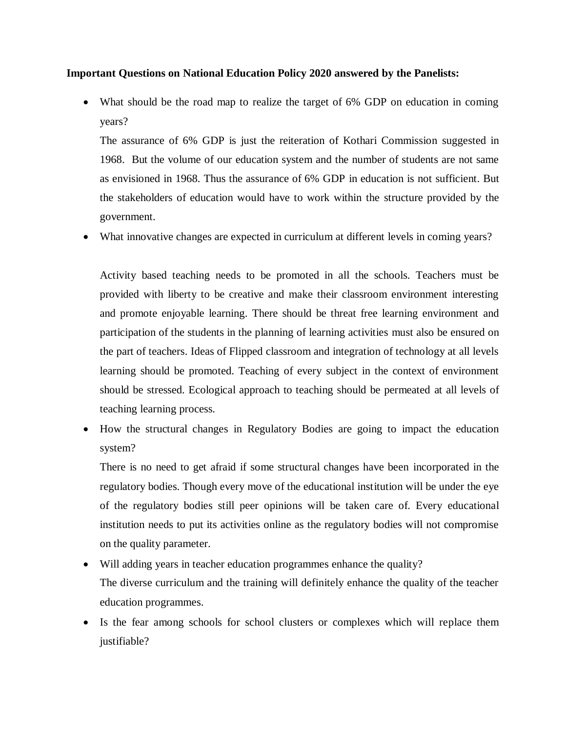#### **Important Questions on National Education Policy 2020 answered by the Panelists:**

• What should be the road map to realize the target of 6% GDP on education in coming years?

The assurance of 6% GDP is just the reiteration of Kothari Commission suggested in 1968. But the volume of our education system and the number of students are not same as envisioned in 1968. Thus the assurance of 6% GDP in education is not sufficient. But the stakeholders of education would have to work within the structure provided by the government.

What innovative changes are expected in curriculum at different levels in coming years?

Activity based teaching needs to be promoted in all the schools. Teachers must be provided with liberty to be creative and make their classroom environment interesting and promote enjoyable learning. There should be threat free learning environment and participation of the students in the planning of learning activities must also be ensured on the part of teachers. Ideas of Flipped classroom and integration of technology at all levels learning should be promoted. Teaching of every subject in the context of environment should be stressed. Ecological approach to teaching should be permeated at all levels of teaching learning process.

 How the structural changes in Regulatory Bodies are going to impact the education system?

There is no need to get afraid if some structural changes have been incorporated in the regulatory bodies. Though every move of the educational institution will be under the eye of the regulatory bodies still peer opinions will be taken care of. Every educational institution needs to put its activities online as the regulatory bodies will not compromise on the quality parameter.

- Will adding years in teacher education programmes enhance the quality? The diverse curriculum and the training will definitely enhance the quality of the teacher education programmes.
- Is the fear among schools for school clusters or complexes which will replace them justifiable?